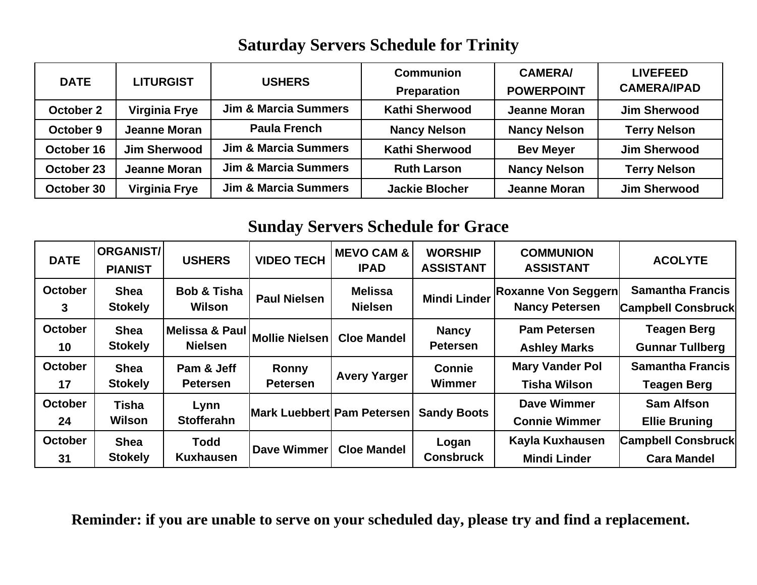## **Saturday Servers Schedule for Trinity**

| <b>DATE</b> | <b>LITURGIST</b>     | <b>USHERS</b>                   | <b>Communion</b><br><b>Preparation</b> | <b>CAMERA/</b><br><b>POWERPOINT</b> | <b>LIVEFEED</b><br><b>CAMERA/IPAD</b> |
|-------------|----------------------|---------------------------------|----------------------------------------|-------------------------------------|---------------------------------------|
| October 2   | <b>Virginia Frye</b> | <b>Jim &amp; Marcia Summers</b> | <b>Kathi Sherwood</b>                  | <b>Jeanne Moran</b>                 | <b>Jim Sherwood</b>                   |
| October 9   | <b>Jeanne Moran</b>  | <b>Paula French</b>             | <b>Nancy Nelson</b>                    | <b>Nancy Nelson</b>                 | <b>Terry Nelson</b>                   |
| October 16  | <b>Jim Sherwood</b>  | <b>Jim &amp; Marcia Summers</b> | <b>Kathi Sherwood</b>                  | <b>Bev Meyer</b>                    | <b>Jim Sherwood</b>                   |
| October 23  | <b>Jeanne Moran</b>  | <b>Jim &amp; Marcia Summers</b> | <b>Ruth Larson</b>                     | <b>Nancy Nelson</b>                 | <b>Terry Nelson</b>                   |
| October 30  | <b>Virginia Frye</b> | <b>Jim &amp; Marcia Summers</b> | <b>Jackie Blocher</b>                  | <b>Jeanne Moran</b>                 | <b>Jim Sherwood</b>                   |

#### **Sunday Servers Schedule for Grace**

| <b>DATE</b>          | <b>ORGANIST/</b><br><b>PIANIST</b> | <b>USHERS</b>                    | <b>VIDEO TECH</b>          | <b>MEVO CAM &amp;</b><br><b>IPAD</b> | <b>WORSHIP</b><br><b>ASSISTANT</b> | <b>COMMUNION</b><br><b>ASSISTANT</b>                | <b>ACOLYTE</b>                                       |
|----------------------|------------------------------------|----------------------------------|----------------------------|--------------------------------------|------------------------------------|-----------------------------------------------------|------------------------------------------------------|
| <b>October</b><br>3  | <b>Shea</b><br><b>Stokely</b>      | <b>Bob &amp; Tisha</b><br>Wilson | <b>Paul Nielsen</b>        | <b>Melissa</b><br><b>Nielsen</b>     | <b>Mindi Linder</b>                | <b>Roxanne Von Seggern</b><br><b>Nancy Petersen</b> | <b>Samantha Francis</b><br><b>Campbell Consbruck</b> |
| <b>October</b><br>10 | <b>Shea</b><br><b>Stokely</b>      | Melissa & Paul<br><b>Nielsen</b> | Mollie Nielsen             | <b>Cloe Mandel</b>                   | <b>Nancy</b><br><b>Petersen</b>    | <b>Pam Petersen</b><br><b>Ashley Marks</b>          | <b>Teagen Berg</b><br><b>Gunnar Tullberg</b>         |
| <b>October</b><br>17 | <b>Shea</b><br><b>Stokely</b>      | Pam & Jeff<br><b>Petersen</b>    | Ronny<br><b>Petersen</b>   | <b>Avery Yarger</b>                  | <b>Connie</b><br>Wimmer            | <b>Mary Vander Pol</b><br><b>Tisha Wilson</b>       | <b>Samantha Francis</b><br>Teagen Berg               |
| <b>October</b><br>24 | Tisha<br>Wilson                    | Lynn<br><b>Stofferahn</b>        | Mark Luebbert Pam Petersen |                                      | <b>Sandy Boots</b>                 | Dave Wimmer<br><b>Connie Wimmer</b>                 | <b>Sam Alfson</b><br><b>Ellie Bruning</b>            |
| <b>October</b><br>31 | <b>Shea</b><br><b>Stokely</b>      | <b>Todd</b><br><b>Kuxhausen</b>  | Dave Wimmer                | <b>Cloe Mandel</b>                   | Logan<br><b>Consbruck</b>          | Kayla Kuxhausen<br><b>Mindi Linder</b>              | <b>Campbell Consbruck</b><br><b>Cara Mandel</b>      |

**Reminder: if you are unable to serve on your scheduled day, please try and find a replacement.**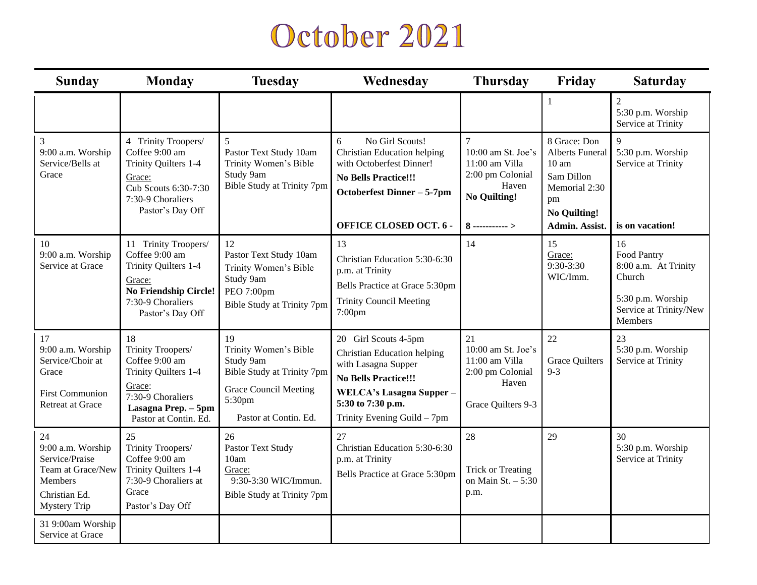# October 2021

| <b>Sunday</b>                                                                                                            | <b>Monday</b><br><b>Tuesday</b>                                                                                                                   |                                                                                                                                           | Wednesday                                                                                                                                                                                       | <b>Thursday</b>                                                                                                        | Friday                                                                                                                            | <b>Saturday</b>                                                                                               |
|--------------------------------------------------------------------------------------------------------------------------|---------------------------------------------------------------------------------------------------------------------------------------------------|-------------------------------------------------------------------------------------------------------------------------------------------|-------------------------------------------------------------------------------------------------------------------------------------------------------------------------------------------------|------------------------------------------------------------------------------------------------------------------------|-----------------------------------------------------------------------------------------------------------------------------------|---------------------------------------------------------------------------------------------------------------|
|                                                                                                                          |                                                                                                                                                   |                                                                                                                                           |                                                                                                                                                                                                 |                                                                                                                        |                                                                                                                                   | $\overline{2}$<br>5:30 p.m. Worship<br>Service at Trinity                                                     |
| 3<br>9:00 a.m. Worship<br>Service/Bells at<br>Grace                                                                      | 4 Trinity Troopers/<br>Coffee 9:00 am<br>Trinity Quilters 1-4<br>Grace:<br>Cub Scouts 6:30-7:30<br>7:30-9 Choraliers<br>Pastor's Day Off          | 5<br>Pastor Text Study 10am<br>Trinity Women's Bible<br>Study 9am<br>Bible Study at Trinity 7pm                                           | 6<br>No Girl Scouts!<br><b>Christian Education helping</b><br>with Octoberfest Dinner!<br><b>No Bells Practice!!!</b><br><b>Octoberfest Dinner - 5-7pm</b><br><b>OFFICE CLOSED OCT.6 -</b>      | $\tau$<br>10:00 am St. Joe's<br>11:00 am Villa<br>2:00 pm Colonial<br>Haven<br><b>No Quilting!</b><br>$8$ -----------> | 8 Grace: Don<br>Alberts Funeral<br>10 <sub>am</sub><br>Sam Dillon<br>Memorial 2:30<br>pm<br><b>No Quilting!</b><br>Admin. Assist. | 9<br>5:30 p.m. Worship<br>Service at Trinity<br>is on vacation!                                               |
| 10<br>9:00 a.m. Worship<br>Service at Grace                                                                              | 11 Trinity Troopers/<br>Coffee 9:00 am<br>Trinity Quilters 1-4<br>Grace:<br><b>No Friendship Circle!</b><br>7:30-9 Choraliers<br>Pastor's Day Off | 12<br>Pastor Text Study 10am<br>Trinity Women's Bible<br>Study 9am<br>PEO 7:00pm<br>Bible Study at Trinity 7pm                            | 13<br>Christian Education 5:30-6:30<br>p.m. at Trinity<br>Bells Practice at Grace 5:30pm<br><b>Trinity Council Meeting</b><br>$7:00$ pm                                                         | 14                                                                                                                     | 15<br>Grace:<br>$9:30-3:30$<br>WIC/Imm.                                                                                           | 16<br>Food Pantry<br>8:00 a.m. At Trinity<br>Church<br>5:30 p.m. Worship<br>Service at Trinity/New<br>Members |
| 17<br>9:00 a.m. Worship<br>Service/Choir at<br>Grace<br><b>First Communion</b><br>Retreat at Grace                       | 18<br>Trinity Troopers/<br>Coffee 9:00 am<br>Trinity Quilters 1-4<br>Grace:<br>7:30-9 Choraliers<br>Lasagna Prep. - 5pm<br>Pastor at Contin. Ed.  | 19<br>Trinity Women's Bible<br>Study 9am<br>Bible Study at Trinity 7pm<br><b>Grace Council Meeting</b><br>5:30pm<br>Pastor at Contin. Ed. | 20 Girl Scouts 4-5pm<br><b>Christian Education helping</b><br>with Lasagna Supper<br><b>No Bells Practice!!!</b><br>WELCA's Lasagna Supper-<br>5:30 to 7:30 p.m.<br>Trinity Evening Guild - 7pm | 21<br>10:00 am St. Joe's<br>$11:00$ am Villa<br>2:00 pm Colonial<br>Haven<br>Grace Quilters 9-3                        | 22<br><b>Grace Quilters</b><br>$9 - 3$                                                                                            | 23<br>5:30 p.m. Worship<br>Service at Trinity                                                                 |
| 24<br>9:00 a.m. Worship<br>Service/Praise<br>Team at Grace/New<br><b>Members</b><br>Christian Ed.<br><b>Mystery Trip</b> | 25<br>Trinity Troopers/<br>Coffee 9:00 am<br>Trinity Quilters 1-4<br>7:30-9 Choraliers at<br>Grace<br>Pastor's Day Off                            | 26<br>Pastor Text Study<br>10am<br>Grace:<br>9:30-3:30 WIC/Immun.<br>Bible Study at Trinity 7pm                                           | 27<br>Christian Education 5:30-6:30<br>p.m. at Trinity<br>Bells Practice at Grace 5:30pm                                                                                                        | 28<br><b>Trick or Treating</b><br>on Main St. $-5:30$<br>p.m.                                                          | 29                                                                                                                                | 30<br>5:30 p.m. Worship<br>Service at Trinity                                                                 |
| 31 9:00am Worship<br>Service at Grace                                                                                    |                                                                                                                                                   |                                                                                                                                           |                                                                                                                                                                                                 |                                                                                                                        |                                                                                                                                   |                                                                                                               |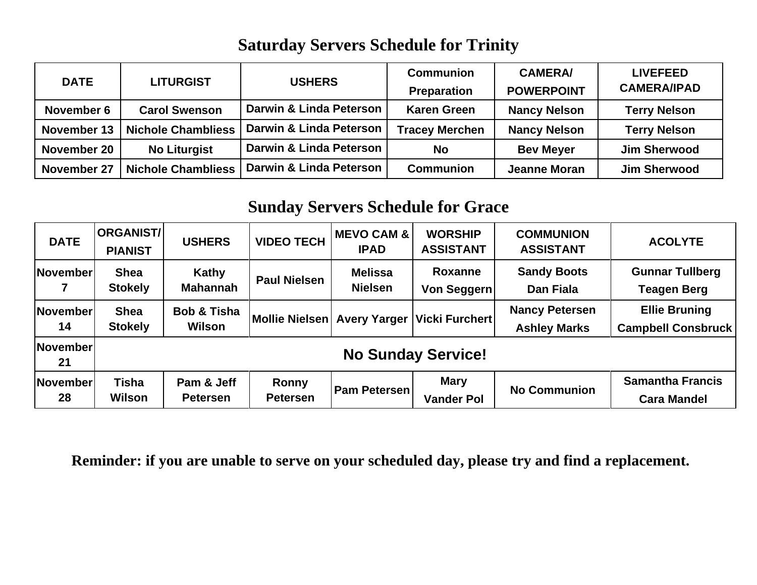#### **Saturday Servers Schedule for Trinity**

| <b>DATE</b> | <b>LITURGIST</b>          | <b>USHERS</b>           | <b>Communion</b><br><b>Preparation</b> | <b>CAMERA/</b><br><b>POWERPOINT</b> | <b>LIVEFEED</b><br><b>CAMERA/IPAD</b> |
|-------------|---------------------------|-------------------------|----------------------------------------|-------------------------------------|---------------------------------------|
| November 6  | <b>Carol Swenson</b>      | Darwin & Linda Peterson | <b>Karen Green</b>                     | <b>Nancy Nelson</b>                 | <b>Terry Nelson</b>                   |
| November 13 | <b>Nichole Chambliess</b> | Darwin & Linda Peterson | <b>Tracey Merchen</b>                  | <b>Nancy Nelson</b>                 | <b>Terry Nelson</b>                   |
| November 20 | <b>No Liturgist</b>       | Darwin & Linda Peterson | <b>No</b>                              | <b>Bev Meyer</b>                    | <b>Jim Sherwood</b>                   |
| November 27 | <b>Nichole Chambliess</b> | Darwin & Linda Peterson | <b>Communion</b>                       | <b>Jeanne Moran</b>                 | <b>Jim Sherwood</b>                   |

## **Sunday Servers Schedule for Grace**

| <b>DATE</b>           | <b>ORGANIST/I</b><br><b>PIANIST</b> | <b>USHERS</b>                    | <b>VIDEO TECH</b>        | <b>MEVO CAM &amp;</b><br><b>IPAD</b> | <b>WORSHIP</b><br><b>ASSISTANT</b> | <b>COMMUNION</b><br><b>ASSISTANT</b>         | <b>ACOLYTE</b>                                    |  |
|-----------------------|-------------------------------------|----------------------------------|--------------------------|--------------------------------------|------------------------------------|----------------------------------------------|---------------------------------------------------|--|
| November              | <b>Shea</b><br><b>Stokely</b>       | Kathy<br><b>Mahannah</b>         | <b>Paul Nielsen</b>      | <b>Melissa</b><br><b>Nielsen</b>     | Roxanne<br>Von Seggern             | <b>Sandy Boots</b><br><b>Dan Fiala</b>       | <b>Gunnar Tullberg</b><br><b>Teagen Berg</b>      |  |
| November<br>14        | <b>Shea</b><br><b>Stokely</b>       | <b>Bob &amp; Tisha</b><br>Wilson | Mollie Nielsen           | <b>Avery Yarger</b>                  | <b>Vicki Furchert</b>              | <b>Nancy Petersen</b><br><b>Ashley Marks</b> | <b>Ellie Bruning</b><br><b>Campbell Consbruck</b> |  |
| November<br>21        | <b>No Sunday Service!</b>           |                                  |                          |                                      |                                    |                                              |                                                   |  |
| <b>November</b><br>28 | Tisha<br>Wilson                     | Pam & Jeff<br><b>Petersen</b>    | Ronny<br><b>Petersen</b> | <b>Pam Petersen</b>                  | <b>Mary</b><br><b>Vander Pol</b>   | <b>No Communion</b>                          | <b>Samantha Francis</b><br><b>Cara Mandel</b>     |  |

**Reminder: if you are unable to serve on your scheduled day, please try and find a replacement.**